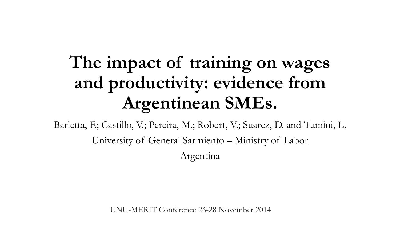## **The impact of training on wages and productivity: evidence from Argentinean SMEs.**

Barletta, F.; Castillo, V.; Pereira, M.; Robert, V.; Suarez, D. and Tumini, L. University of General Sarmiento – Ministry of Labor Argentina

UNU-MERIT Conference 26-28 November 2014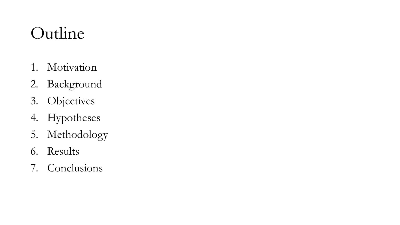## Outline

- 1. Motivation
- 2. Background
- 3. Objectives
- 4. Hypotheses
- 5. Methodology
- 6. Results
- 7. Conclusions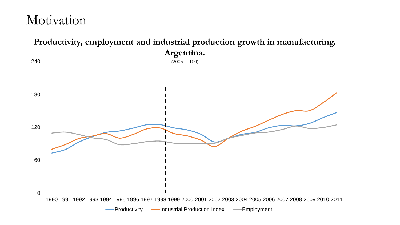### 0 60 120 180 240 1990 1991 1992 1993 1994 1995 1996 1997 1998 1999 2000 2001 2002 2003 2004 2005 2006 2007 2008 2009 2010 2011 -Productivity - Industrial Production Index - Employment **Productivity, employment and industrial production growth in manufacturing. Argentina.**   $(2003 = 100)$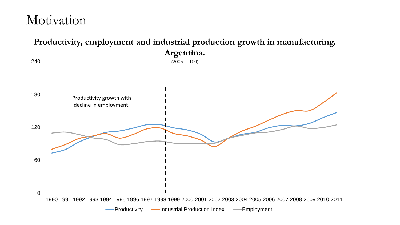#### **Productivity, employment and industrial production growth in manufacturing.**

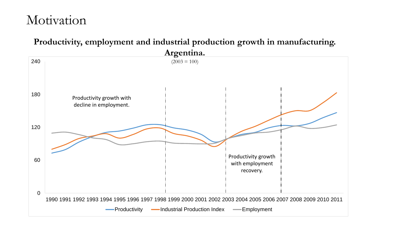#### **Productivity, employment and industrial production growth in manufacturing.**

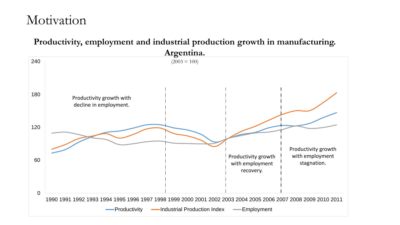#### **Productivity, employment and industrial production growth in manufacturing.**

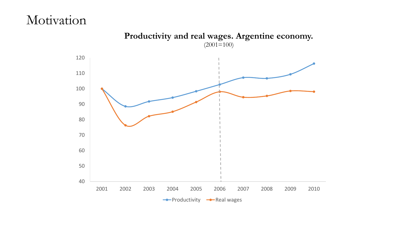

**Productivity and real wages. Argentine economy.**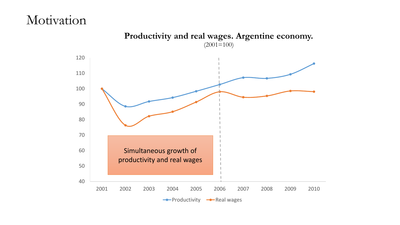

**Productivity and real wages. Argentine economy.**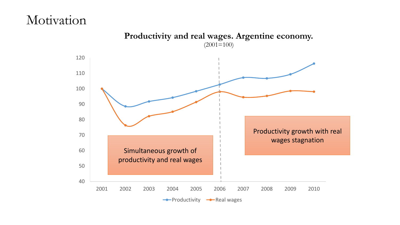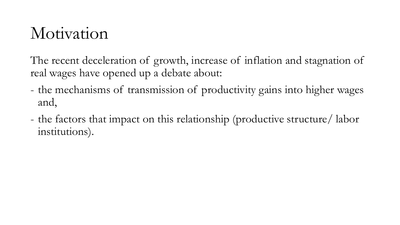The recent deceleration of growth, increase of inflation and stagnation of real wages have opened up a debate about:

- the mechanisms of transmission of productivity gains into higher wages and,
- the factors that impact on this relationship (productive structure/ labor institutions).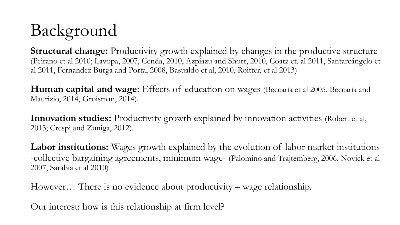# Background

**Structural change:** Productivity growth explained by changes in the productive structure (Peirano et al 2010; Lavopa, 2007, Cenda, 2010, Azpiazu and Shorr, 2010, Coatz et. al 2011, Santarcángelo et al 2011, Fernandez Burga and Porta, 2008, Basualdo et al, 2010, Roitter, et al 2013)

**Human capital and wage:** Effects of education on wages (Beccaria et al 2005, Beccaria and Maurizio, 2014, Groisman, 2014).

**Innovation studies:** Productivity growth explained by innovation activities (Robert et al, 2013; Crespi and Zuniga, 2012).

**Labor institutions:** Wages growth explained by the evolution of labor market institutions -collective bargaining agreements, minimum wage- (Palomino and Trajtemberg, 2006, Novick et al 2007, Sarabia et al 2010)

However… There is no evidence about productivity – wage relationship.

Our interest: how is this relationship at firm level?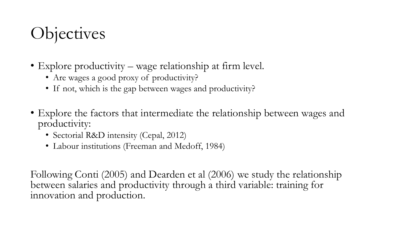## **Objectives**

- Explore productivity wage relationship at firm level.
	- Are wages a good proxy of productivity?
	- If not, which is the gap between wages and productivity?
- Explore the factors that intermediate the relationship between wages and productivity:
	- Sectorial R&D intensity (Cepal, 2012)
	- Labour institutions (Freeman and Medoff, 1984)

Following Conti (2005) and Dearden et al (2006) we study the relationship between salaries and productivity through a third variable: training for innovation and production.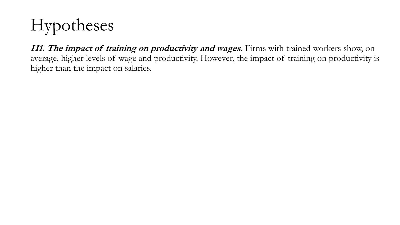# Hypotheses

**H1. The impact of training on productivity and wages.** Firms with trained workers show, on average, higher levels of wage and productivity. However, the impact of training on productivity is higher than the impact on salaries.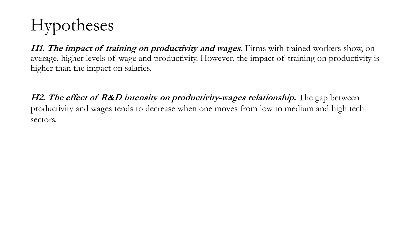# Hypotheses

**H1. The impact of training on productivity and wages.** Firms with trained workers show, on average, higher levels of wage and productivity. However, the impact of training on productivity is higher than the impact on salaries.

**H2. The effect of R&D intensity on productivity-wages relationship.** The gap between productivity and wages tends to decrease when one moves from low to medium and high tech sectors.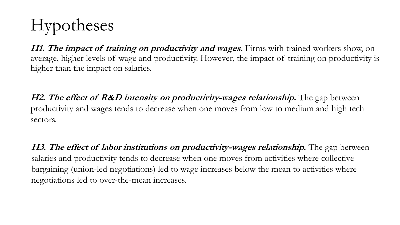# Hypotheses

**H1. The impact of training on productivity and wages.** Firms with trained workers show, on average, higher levels of wage and productivity. However, the impact of training on productivity is higher than the impact on salaries.

**H2. The effect of R&D intensity on productivity-wages relationship.** The gap between productivity and wages tends to decrease when one moves from low to medium and high tech sectors.

**H3. The effect of labor institutions on productivity-wages relationship.** The gap between salaries and productivity tends to decrease when one moves from activities where collective bargaining (union-led negotiations) led to wage increases below the mean to activities where negotiations led to over-the-mean increases.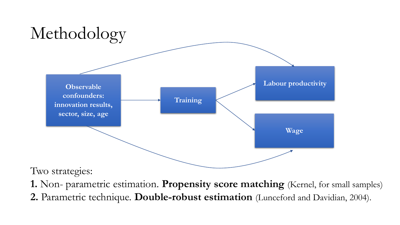

Two strategies:

**1.** Non- parametric estimation. **Propensity score matching** (Kernel, for small samples) **2.** Parametric technique. **Double-robust estimation** (Lunceford and Davidian, 2004).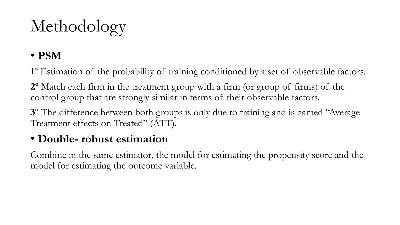# Methodology

### • **PSM**

**1º** Estimation of the probability of training conditioned by a set of observable factors.

**2º** Match each firm in the treatment group with a firm (or group of firms) of the control group that are strongly similar in terms of their observable factors.

**3º** The difference between both groups is only due to training and is named "Average Treatment effects on Treated" (ATT).

#### • **Double- robust estimation**

Combine in the same estimator, the model for estimating the propensity score and the model for estimating the outcome variable.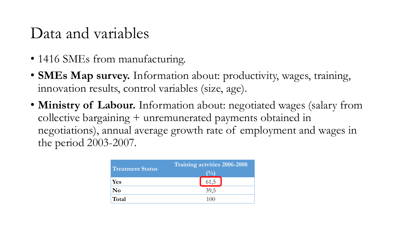### Data and variables

- 1416 SMEs from manufacturing.
- **SMEs Map survey.** Information about: productivity, wages, training, innovation results, control variables (size, age).
- **Ministry of Labour.** Information about: negotiated wages (salary from collective bargaining + unremunerated payments obtained in negotiations), annual average growth rate of employment and wages in the period 2003-2007.

| <b>Treatment Status</b> | Training actvities 2006-2008 |  |  |  |
|-------------------------|------------------------------|--|--|--|
|                         |                              |  |  |  |
| Yes                     | 61,5                         |  |  |  |
| $\bf No$                | 39,5                         |  |  |  |
| Total                   |                              |  |  |  |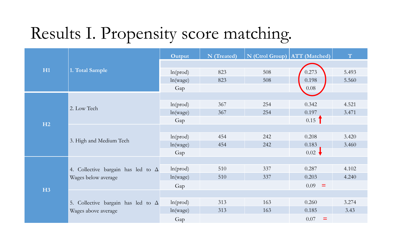## Results I. Propensity score matching.

|    |                                                                  | Output   | N (Treated) | N (Ctrol Group) ATT (Matched) |                      | T     |
|----|------------------------------------------------------------------|----------|-------------|-------------------------------|----------------------|-------|
| H1 |                                                                  |          |             |                               |                      |       |
|    | 1. Total Sample                                                  | ln(prod) | 823         | 508                           | 0.273                | 5.493 |
|    |                                                                  | ln(wage) | 823         | 508                           | 0.198                | 5.560 |
|    |                                                                  | Gap      |             |                               | $0.08\,$             |       |
| H2 |                                                                  |          |             |                               |                      |       |
|    | 2. Low Tech                                                      | ln(pred) | 367         | 254                           | 0.342                | 4.521 |
|    |                                                                  | ln(wage) | 367         | 254                           | 0.197                | 3.471 |
|    |                                                                  | Gap      |             |                               | $0.15$ <sup>1</sup>  |       |
|    |                                                                  |          |             |                               |                      |       |
|    | 3. High and Medium Tech                                          | ln(pred) | 454         | 242                           | 0.208                | 3.420 |
|    |                                                                  | ln(wage) | 454         | 242                           | 0.183                | 3.460 |
|    |                                                                  | Gap      |             |                               | $0.02 \rightarrow$   |       |
| H3 |                                                                  |          |             |                               |                      |       |
|    | 4. Collective bargain has led to $\Delta$                        | ln(pred) | 510         | 337                           | 0.287                | 4.102 |
|    | Wages below average                                              | ln(wage) | 510         | 337                           | 0.203                | 4.240 |
|    |                                                                  | Gap      |             |                               | 0.09<br>$=$          |       |
|    | 5. Collective bargain has led to $\Delta$<br>Wages above average |          |             |                               |                      |       |
|    |                                                                  | ln(pred) | 313         | 163                           | 0.260                | 3.274 |
|    |                                                                  | ln(wage) | 313         | 163                           | 0.185                | 3.43  |
|    |                                                                  | Gap      |             |                               | $0.07\,$<br>$\equiv$ |       |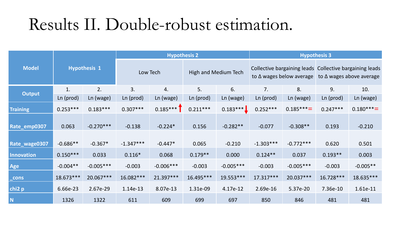### Results II. Double-robust estimation.

|                    | <b>Hypothesis 1</b> |             | <b>Hypothesis 2</b> |             |                             |             | <b>Hypothesis 3</b>             |             |                                                                                            |            |
|--------------------|---------------------|-------------|---------------------|-------------|-----------------------------|-------------|---------------------------------|-------------|--------------------------------------------------------------------------------------------|------------|
| <b>Model</b>       |                     |             | Low Tech            |             | <b>High and Medium Tech</b> |             | to $\Delta$ wages below average |             | Collective bargaining leads Collective bargaining leads<br>to $\Delta$ wages above average |            |
| <b>Output</b>      | 1.                  | 2.          | 3.                  | 4.          | 5.                          | 6.          | 7.                              | 8.          | 9.                                                                                         | 10.        |
|                    | Ln (prod)           | Ln (wage)   | Ln (prod)           | Ln (wage)   | Ln (prod)                   | Ln (wage)   | Ln (prod)                       | Ln (wage)   | Ln (prod)                                                                                  | Ln (wage)  |
| <b>Training</b>    | $0.253***$          | $0.183***$  | $0.307***$          | $0.185***$  | $0.211***$                  | $0.183***$  | $0.252***$                      | $0.185***$  | $0.247***$                                                                                 | $0.180***$ |
| Rate_emp0307       | 0.063               | $-0.270***$ | $-0.138$            | $-0.224*$   | 0.156                       | $-0.282**$  | $-0.077$                        | $-0.308**$  | 0.193                                                                                      | $-0.210$   |
| Rate_wage0307      | $-0.686**$          | $-0.367*$   | $-1.347***$         | $-0.447*$   | 0.065                       | $-0.210$    | $-1.303***$                     | $-0.772***$ | 0.620                                                                                      | 0.501      |
| <b>Innovation</b>  | $0.150***$          | 0.033       | $0.116*$            | 0.068       | $0.179**$                   | 0.000       | $0.124**$                       | 0.037       | $0.193**$                                                                                  | 0.003      |
| Age                | $-0.004**$          | $-0.005***$ | $-0.003$            | $-0.006***$ | $-0.003$                    | $-0.005***$ | $-0.003$                        | $-0.005***$ | $-0.003$                                                                                   | $-0.005**$ |
| _cons              | 18.673***           | 20.067***   | 16.082***           | 21.397***   | 16.495***                   | 19.553***   | 17.317***                       | 20.037***   | 16.728***                                                                                  | 18.635***  |
| chi <sub>2</sub> p | 6.66e-23            | 2.67e-29    | 1.14e-13            | 8.07e-13    | 1.31e-09                    | 4.17e-12    | 2.69e-16                        | 5.37e-20    | 7.36e-10                                                                                   | 1.61e-11   |
| N                  | 1326                | 1322        | 611                 | 609         | 699                         | 697         | 850                             | 846         | 481                                                                                        | 481        |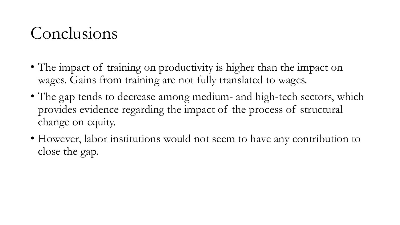## Conclusions

- The impact of training on productivity is higher than the impact on wages. Gains from training are not fully translated to wages.
- The gap tends to decrease among medium- and high-tech sectors, which provides evidence regarding the impact of the process of structural change on equity.
- However, labor institutions would not seem to have any contribution to close the gap.